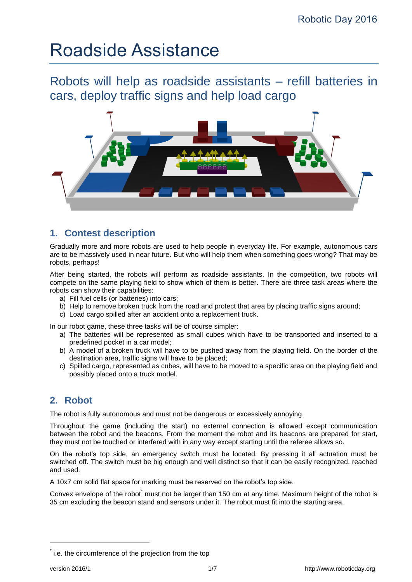# Roadside Assistance

Robots will help as roadside assistants – refill batteries in cars, deploy traffic signs and help load cargo



# <span id="page-0-0"></span>**1. Contest description**

Gradually more and more robots are used to help people in everyday life. For example, autonomous cars are to be massively used in near future. But who will help them when something goes wrong? That may be robots, perhaps!

After being started, the robots will perform as roadside assistants. In the competition, two robots will compete on the same playing field to show which of them is better. There are three task areas where the robots can show their capabilities:

- a) Fill fuel cells (or batteries) into cars;
- b) Help to remove broken truck from the road and protect that area by placing traffic signs around;
- c) Load cargo spilled after an accident onto a replacement truck.

In our robot game, these three tasks will be of course simpler:

- a) The batteries will be represented as small cubes which have to be transported and inserted to a predefined pocket in a car model;
- b) A model of a broken truck will have to be pushed away from the playing field. On the border of the destination area, traffic signs will have to be placed;
- c) Spilled cargo, represented as cubes, will have to be moved to a specific area on the playing field and possibly placed onto a truck model.

# **2. Robot**

The robot is fully autonomous and must not be dangerous or excessively annoying.

Throughout the game (including the start) no external connection is allowed except communication between the robot and the beacons. From the moment the robot and its beacons are prepared for start, they must not be touched or interfered with in any way except starting until the referee allows so.

On the robot's top side, an emergency switch must be located. By pressing it all actuation must be switched off. The switch must be big enough and well distinct so that it can be easily recognized, reached and used.

A 10x7 cm solid flat space for marking must be reserved on the robot's top side.

Convex envelope of the robot must not be larger than 150 cm at any time. Maximum height of the robot is 35 cm excluding the beacon stand and sensors under it. The robot must fit into the starting area.

1

<sup>\*</sup> i.e. the circumference of the projection from the top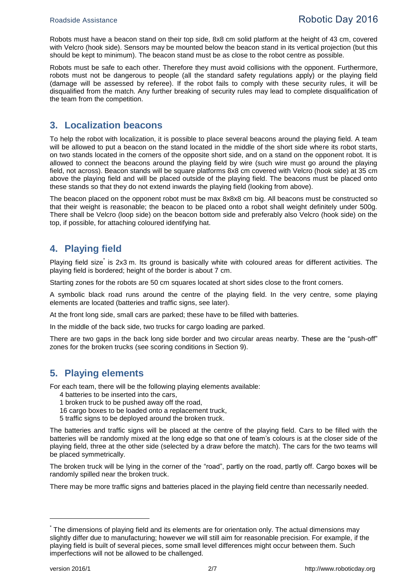Robots must have a beacon stand on their top side, 8x8 cm solid platform at the height of 43 cm, covered with Velcro (hook side). Sensors may be mounted below the beacon stand in its vertical projection (but this should be kept to minimum). The beacon stand must be as close to the robot centre as possible.

Robots must be safe to each other. Therefore they must avoid collisions with the opponent. Furthermore, robots must not be dangerous to people (all the standard safety regulations apply) or the playing field (damage will be assessed by referee). If the robot fails to comply with these security rules, it will be disqualified from the match. Any further breaking of security rules may lead to complete disqualification of the team from the competition.

#### **3. Localization beacons**

To help the robot with localization, it is possible to place several beacons around the playing field. A team will be allowed to put a beacon on the stand located in the middle of the short side where its robot starts, on two stands located in the corners of the opposite short side, and on a stand on the opponent robot. It is allowed to connect the beacons around the playing field by wire (such wire must go around the playing field, not across). Beacon stands will be square platforms 8x8 cm covered with Velcro (hook side) at 35 cm above the playing field and will be placed outside of the playing field. The beacons must be placed onto these stands so that they do not extend inwards the playing field (looking from above).

The beacon placed on the opponent robot must be max 8x8x8 cm big. All beacons must be constructed so that their weight is reasonable; the beacon to be placed onto a robot shall weight definitely under 500g. There shall be Velcro (loop side) on the beacon bottom side and preferably also Velcro (hook side) on the top, if possible, for attaching coloured identifying hat.

#### **4. Playing field**

Playing field size<sup>\*</sup> is 2x3 m. Its ground is basically white with coloured areas for different activities. The playing field is bordered; height of the border is about 7 cm.

Starting zones for the robots are 50 cm squares located at short sides close to the front corners.

A symbolic black road runs around the centre of the playing field. In the very centre, some playing elements are located (batteries and traffic signs, see later).

At the front long side, small cars are parked; these have to be filled with batteries.

In the middle of the back side, two trucks for cargo loading are parked.

There are two gaps in the back long side border and two circular areas nearby. These are the "push-off" zones for the broken trucks (see scoring conditions in Section [9\)](#page-3-0).

## **5. Playing elements**

For each team, there will be the following playing elements available:

- 4 batteries to be inserted into the cars,
- 1 broken truck to be pushed away off the road,
- 16 cargo boxes to be loaded onto a replacement truck,
- 5 traffic signs to be deployed around the broken truck.

The batteries and traffic signs will be placed at the centre of the playing field. Cars to be filled with the batteries will be randomly mixed at the long edge so that one of team's colours is at the closer side of the playing field, three at the other side (selected by a draw before the match). The cars for the two teams will be placed symmetrically.

The broken truck will be lying in the corner of the "road", partly on the road, partly off. Cargo boxes will be randomly spilled near the broken truck.

There may be more traffic signs and batteries placed in the playing field centre than necessarily needed.

1

<sup>\*</sup> The dimensions of playing field and its elements are for orientation only. The actual dimensions may slightly differ due to manufacturing; however we will still aim for reasonable precision. For example, if the playing field is built of several pieces, some small level differences might occur between them. Such imperfections will not be allowed to be challenged.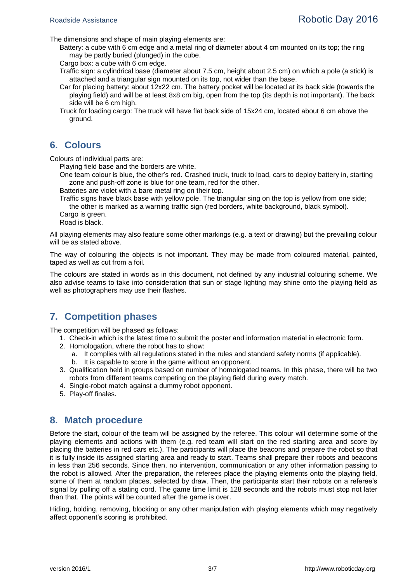The dimensions and shape of main playing elements are:

Battery: a cube with 6 cm edge and a metal ring of diameter about 4 cm mounted on its top; the ring may be partly buried (plunged) in the cube.

Cargo box: a cube with 6 cm edge.

Traffic sign: a cylindrical base (diameter about 7.5 cm, height about 2.5 cm) on which a pole (a stick) is attached and a triangular sign mounted on its top, not wider than the base.

- Car for placing battery: about 12x22 cm. The battery pocket will be located at its back side (towards the playing field) and will be at least 8x8 cm big, open from the top (its depth is not important). The back side will be 6 cm high.
- Truck for loading cargo: The truck will have flat back side of 15x24 cm, located about 6 cm above the ground.

## **6. Colours**

Colours of individual parts are:

Playing field base and the borders are white.

One team colour is blue, the other's red. Crashed truck, truck to load, cars to deploy battery in, starting zone and push-off zone is blue for one team, red for the other.

Batteries are violet with a bare metal ring on their top.

Traffic signs have black base with yellow pole. The triangular sing on the top is yellow from one side; the other is marked as a warning traffic sign (red borders, white background, black symbol).

Cargo is green.

Road is black.

All playing elements may also feature some other markings (e.g. a text or drawing) but the prevailing colour will be as stated above.

The way of colouring the objects is not important. They may be made from coloured material, painted, taped as well as cut from a foil.

The colours are stated in words as in this document, not defined by any industrial colouring scheme. We also advise teams to take into consideration that sun or stage lighting may shine onto the playing field as well as photographers may use their flashes.

## **7. Competition phases**

The competition will be phased as follows:

- 1. Check-in which is the latest time to submit the poster and information material in electronic form.
- 2. Homologation, where the robot has to show:
	- a. It complies with all regulations stated in the rules and standard safety norms (if applicable).
	- b. It is capable to score in the game without an opponent.
- 3. Qualification held in groups based on number of homologated teams. In this phase, there will be two robots from different teams competing on the playing field during every match.
- 4. Single-robot match against a dummy robot opponent.
- 5. Play-off finales.

#### **8. Match procedure**

Before the start, colour of the team will be assigned by the referee. This colour will determine some of the playing elements and actions with them (e.g. red team will start on the red starting area and score by placing the batteries in red cars etc.). The participants will place the beacons and prepare the robot so that it is fully inside its assigned starting area and ready to start. Teams shall prepare their robots and beacons in less than 256 seconds. Since then, no intervention, communication or any other information passing to the robot is allowed. After the preparation, the referees place the playing elements onto the playing field, some of them at random places, selected by draw. Then, the participants start their robots on a referee's signal by pulling off a stating cord. The game time limit is 128 seconds and the robots must stop not later than that. The points will be counted after the game is over.

Hiding, holding, removing, blocking or any other manipulation with playing elements which may negatively affect opponent's scoring is prohibited.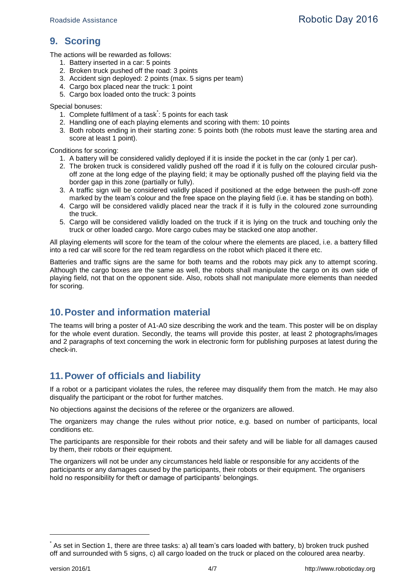# <span id="page-3-0"></span>**9. Scoring**

The actions will be rewarded as follows:

- 1. Battery inserted in a car: 5 points
- 2. Broken truck pushed off the road: 3 points
- 3. Accident sign deployed: 2 points (max. 5 signs per team)
- 4. Cargo box placed near the truck: 1 point
- 5. Cargo box loaded onto the truck: 3 points

Special bonuses:

- 1. Complete fulfilment of a task<sup>\*</sup>: 5 points for each task
- 2. Handling one of each playing elements and scoring with them: 10 points
- 3. Both robots ending in their starting zone: 5 points both (the robots must leave the starting area and score at least 1 point).

Conditions for scoring:

- 1. A battery will be considered validly deployed if it is inside the pocket in the car (only 1 per car).
- 2. The broken truck is considered validly pushed off the road if it is fully on the coloured circular pushoff zone at the long edge of the playing field; it may be optionally pushed off the playing field via the border gap in this zone (partially or fully).
- 3. A traffic sign will be considered validly placed if positioned at the edge between the push-off zone marked by the team's colour and the free space on the playing field (i.e. it has be standing on both).
- 4. Cargo will be considered validly placed near the track if it is fully in the coloured zone surrounding the truck.
- 5. Cargo will be considered validly loaded on the truck if it is lying on the truck and touching only the truck or other loaded cargo. More cargo cubes may be stacked one atop another.

All playing elements will score for the team of the colour where the elements are placed, i.e. a battery filled into a red car will score for the red team regardless on the robot which placed it there etc.

Batteries and traffic signs are the same for both teams and the robots may pick any to attempt scoring. Although the cargo boxes are the same as well, the robots shall manipulate the cargo on its own side of playing field, not that on the opponent side. Also, robots shall not manipulate more elements than needed for scoring.

## **10.Poster and information material**

The teams will bring a poster of A1-A0 size describing the work and the team. This poster will be on display for the whole event duration. Secondly, the teams will provide this poster, at least 2 photographs/images and 2 paragraphs of text concerning the work in electronic form for publishing purposes at latest during the check-in.

## **11.Power of officials and liability**

If a robot or a participant violates the rules, the referee may disqualify them from the match. He may also disqualify the participant or the robot for further matches.

No objections against the decisions of the referee or the organizers are allowed.

The organizers may change the rules without prior notice, e.g. based on number of participants, local conditions etc.

The participants are responsible for their robots and their safety and will be liable for all damages caused by them, their robots or their equipment.

The organizers will not be under any circumstances held liable or responsible for any accidents of the participants or any damages caused by the participants, their robots or their equipment. The organisers hold no responsibility for theft or damage of participants' belongings.

-

<sup>\*</sup> As set in Section [1,](#page-0-0) there are three tasks: a) all team's cars loaded with battery, b) broken truck pushed off and surrounded with 5 signs, c) all cargo loaded on the truck or placed on the coloured area nearby.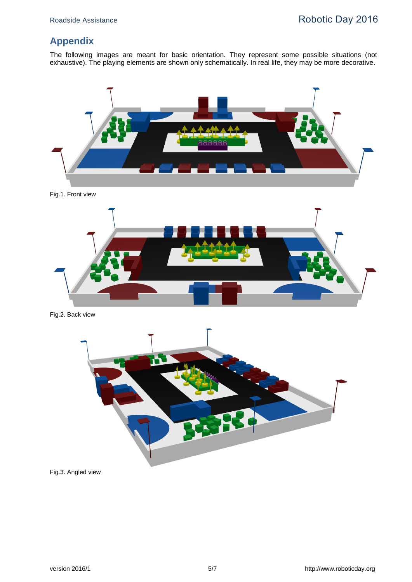# **Appendix**

The following images are meant for basic orientation. They represent some possible situations (not exhaustive). The playing elements are shown only schematically. In real life, they may be more decorative.



Fig.1. Front view



Fig.2. Back view



Fig.3. Angled view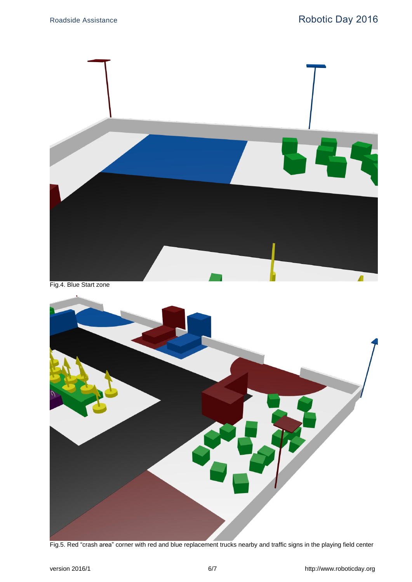

Fig.5. Red "crash area" corner with red and blue replacement trucks nearby and traffic signs in the playing field center